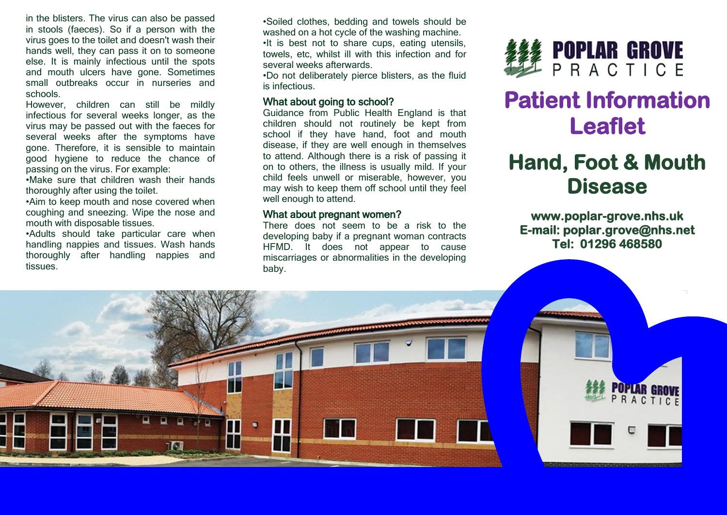in the blisters. The virus can also be passed in stools (faeces). So if a person with the virus goes to the toilet and doesn't wash their hands well, they can pass it on to someone else. It is mainly infectious until the spots and mouth ulcers have gone. Sometimes small outbreaks occur in nurseries and schools.

However, children can still be mildly infectious for several weeks longer, as the virus may be passed out with the faeces for several weeks after the symptoms have gone. Therefore, it is sensible to maintain good hygiene to reduce the chance of passing on the virus. For example:

•Make sure that children wash their hands thoroughly after using the toilet.

•Aim to keep mouth and nose covered when coughing and sneezing. Wipe the nose and mouth with disposable tissues.

•Adults should take particular care when handling nappies and tissues. Wash hands thoroughly after handling nappies and tissues.

•Soiled clothes, bedding and towels should be washed on a hot cycle of the washing machine. •It is best not to share cups, eating utensils, towels, etc, whilst ill with this infection and for several weeks afterwards.

•Do not deliberately pierce blisters, as the fluid is infectious.

#### What about going to school?

Guidance from Public Health England is that children should not routinely be kept from school if they have hand, foot and mouth disease, if they are well enough in themselves to attend. Although there is a risk of passing it on to others, the illness is usually mild. If your child feels unwell or miserable, however, you may wish to keep them off school until they feel well enough to attend.

#### What about pregnant women?

There does not seem to be a risk to the developing baby if a pregnant woman contracts HFMD. It does not appear to cause miscarriages or abnormalities in the developing baby.



# **Patient Information Leaflet**

## **Hand, Foot & Mouth Disease**

**www.poplar-grove.nhs.uk E-mail: poplar.grove@nhs.net Tel: 01296 468580**